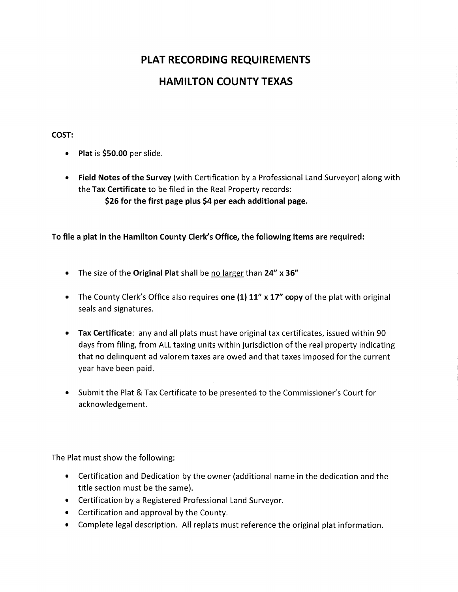## PLAT RECORDING REQUIREMENTS HAMILTON COUNTY TEXAS

## COST:

- Plat is \$50.00 per slide.
- Field Notes of the Survey (with Certification by a Professional Land Surveyor) along with the Tax Certificate to be filed in the Real Property records: \$26 for the first page plus \$4 per each additional page.

To file a plat in the Hamilton County Clerk's Office, the following items are required:

- The size of the Original Plat shall be no larger than 24" x 36"
- The County Clerk's Office also requires one (1) 11" x 17" copy of the plat with original seals and signatures.
- Tax Certificate: any and all plats must have original tax certificates, issued within 90 days from filing, from ALL taxing units within jurisdiction of the real property indicating that no delinquent ad valorem taxes are owed and that taxes imposed for the current year have been paid.
- Submit the Plat & Tax Certificate to be presented to the Commissioner's Court for acknowledgement.

The Plat must show the following:

- Certification and Dedication by the owner (additional name in the dedication and the title section must be the same).
- Certification by a Registered Professional Land Surveyor.
- Certification and approval by the County.
- Complete legal description. All replats must reference the original plat information.